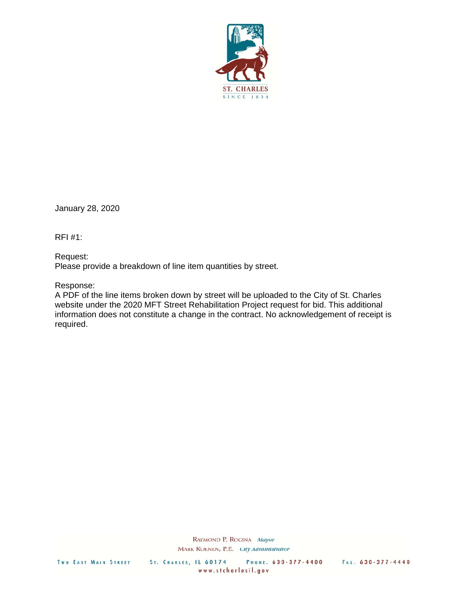

January 28, 2020

RFI #1:

Request: Please provide a breakdown of line item quantities by street.

Response:

A PDF of the line items broken down by street will be uploaded to the City of St. Charles website under the 2020 MFT Street Rehabilitation Project request for bid. This additional information does not constitute a change in the contract. No acknowledgement of receipt is required.

> RAYMOND P. ROGINA Mayor MARK KOENEN, P.E. City Administrator

TWO EAST MAIN STREET

ST. CHARLES, IL 60174 PHONE: 630-377-4400 FAX: 630-377-4440 www.stcharlesil.gov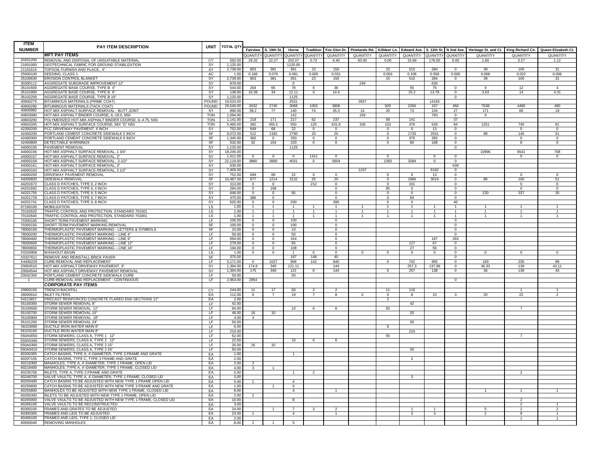| <b>ITEM</b>          | PAY ITEM DESCRIPTION                                                                                                      | <b>UNIT</b>              | <b>TOTAL QTY</b>     |                                  |                                  |                       |                                  |                                  |                            |                                  |                      |                      |                                  |                                                                       |                                 |                            |
|----------------------|---------------------------------------------------------------------------------------------------------------------------|--------------------------|----------------------|----------------------------------|----------------------------------|-----------------------|----------------------------------|----------------------------------|----------------------------|----------------------------------|----------------------|----------------------|----------------------------------|-----------------------------------------------------------------------|---------------------------------|----------------------------|
| <b>NUMBER</b>        |                                                                                                                           |                          |                      |                                  | Fairview S. 19th St.             | Horne                 | <b>Tradition</b>                 | Fox Glen Dr.                     | Pinelands Rd. Killdeer Ln. |                                  | <b>Edward Ave.</b>   | S. 12th St.          |                                  | N 2nd Ave. Heritage St. and Ct. King Richard Cir. Queen Elizabeth Ct. |                                 |                            |
|                      | <b>MFT PAY ITEMS</b>                                                                                                      |                          |                      | QUANTITY                         | QUANTITY                         | <b>QUANTIT</b>        | QUANTITY                         | QUANTITY                         | QUANTITY                   | QUANTITY                         | QUANTITY             | QUANTITY             | QUANTITY                         | QUANTITY                                                              | QUANTITY                        | QUANTITY                   |
| 20201200<br>21001000 | REMOVAL AND DISPOSAL OF UNSUITABLE MATERIAL<br>GEOTECHNICAL FABRIC FOR GROUND STABILIZATION                               | <b>CY</b><br><b>SY</b>   | 592.00<br>1,125.00   | 29.32                            | 22.27                            | 252.07<br>1125.00     | 0.72                             | 6.40                             | 83.00                      | 0.00                             | 15.69                | 176.00               | 0.00                             | 1.60                                                                  | 3.27                            | 1.12                       |
| 21101615             | OPSOIL FURNISH AND PLACE, 4"                                                                                              | SY                       | 2,739.0              | 803                              | 381                              | 391                   | 23                               | 150                              |                            | 15                               | 515                  | 284                  | $^{\circ}$                       | 39                                                                    | 105                             | 31                         |
| 25000100             | SEEDING, CLASS 1                                                                                                          | AC                       | 1.00                 | 0.166                            | 0.079                            | 0.081                 | 0.005                            | 0.031                            |                            | 0.003                            | 0.106                | 0.059                | 0.000                            | 0.008                                                                 | 0.022                           | 0.006                      |
| 25100630             | EROSION CONTROL BLANKET                                                                                                   | SY                       | 2,739.00             | 803                              | 381                              | 391                   | 23                               | 150                              |                            | 15                               | 515                  | 284                  | $\overline{0}$                   | 39                                                                    | 105                             | 31                         |
| 30300112             | AGGREGATE SUBGRADE IMPROVEMENT 12"                                                                                        | SY                       | 879.00               |                                  |                                  | $\Omega$              |                                  |                                  | 249                        |                                  |                      | 630                  |                                  |                                                                       |                                 |                            |
| 35101600<br>35101800 | AGGREGATE BASE COURSE, TYPE B 4"<br>AGGREGATE BASE COURSE, TYPE B 6"                                                      | <b>SY</b><br>SY          | 544.00<br>138.00     | 204<br>16.39                     | 65<br>34                         | 78<br>12.11           | -6<br>$^{\circ}$                 | 36<br>14.4                       |                            |                                  | 55<br>25.2           | 75<br>13.79          | $\overline{0}$<br>$^{\circ}$     | 9<br>3.63                                                             | 12<br>14                        | $\overline{4}$<br>4.31     |
| 35102200             | AGGREGATE BASE COURSE. TYPE B 10"                                                                                         | -SY                      | 1.125.00             |                                  |                                  | 1125                  |                                  |                                  |                            |                                  |                      |                      | $\overline{0}$                   |                                                                       |                                 |                            |
| 40600275             | BITUMINOUS MATERIALS (PRIME COAT)                                                                                         | POUND                    | 19,533.00            |                                  |                                  | 2531                  |                                  |                                  | 2837                       |                                  |                      | 14165                |                                  |                                                                       |                                 |                            |
| 40600290             | BITUMINOUS MATERIALS (TACK COAT)                                                                                          | POUND                    | 29.540.00            | 2632                             | 2745                             | 3068                  | 1003                             | 3806                             |                            | 925                              | 2266                 | 157                  | 450                              | 7538                                                                  | 4460                            | 490                        |
| 4060098              | <b>IOT-MIX ASPHALT SURFACE REMOVAL - BUTT JOINT</b>                                                                       | SY                       | 890.00               | 39.2                             | 77                               | 140                   | 74                               | 35.3                             | 14                         | 20                               | 73                   | 134                  | 27                               | 171                                                                   | 66                              | 19                         |
| 40603080<br>40603200 | HOT-MIX ASPHALT BINDER COURSE, IL-19.0, N50<br>POLYMERIZED HOT-MIX ASPHALT BINDER COURSE, IL-4.75, N50                    | <b>TON</b><br><b>TON</b> | 1.094.00<br>1,141.00 | 218                              | 171                              | 142<br>217            | 62                               | 237                              | 159                        | 58                               | 141                  | 793                  | $\overline{0}$<br>37             | $\mathbf{0}$                                                          |                                 |                            |
| 40603335             | HOT-MIX ASPHALT SURFACE COURSE, MIX "D" N50                                                                               | <b>TON</b>               | 5,465.00             | 382                              | 455.5                            | 550                   | 125                              | 631.6                            | 106                        | 153                              | 376                  | 529                  | 84                               | 1251                                                                  | 740                             | 81                         |
| 42300200             | PCC DRIVEWAY PAVEMENT, 6 INCH                                                                                             | SY                       | 752.00               | 649                              | 68                               | 22                    | $\overline{0}$                   | $\Omega$                         |                            | $\overline{0}$                   | $\Omega$             | 13                   | $\overline{0}$                   |                                                                       | $\Omega$                        | $\overline{0}$             |
| 42400200             | PORTLAND CEMENT CONCRETE SIDEWALK 5 INCH                                                                                  | SF                       | 9.072.0              | 512                              | 1182                             | 2790                  | 20                               | 20                               |                            | $\mathbf 0$                      | 1733                 | 2531                 | $\mathbf 0$                      | 88                                                                    | 145                             | 51                         |
| 42400300<br>42400800 | PORTLAND CEMENT CONCRETE SIDEWALK 6 INCH<br>DETECTABLE WARNINGS                                                           | SF<br>SF                 | 1.345.00<br>532.00   | 365<br>32                        | $\Omega$<br>104                  | 250<br>220            | $\overline{0}$<br>$\overline{0}$ | $\overline{0}$<br>$\overline{0}$ |                            | $\overline{0}$<br>$\overline{0}$ | 375<br>60            | 355<br>108           | $\overline{0}$<br>$\overline{0}$ |                                                                       | $\overline{0}$<br>-8            | $\Omega$<br>$\overline{0}$ |
| 44000100             | PAVEMENT REMOVAL                                                                                                          | SY                       | 1,125.00             |                                  |                                  | 1125                  |                                  |                                  |                            |                                  |                      |                      | $\overline{0}$                   |                                                                       |                                 |                            |
| 44000156             | HOT-MIX ASPHALT SURFACE REMOVAL, 1 3/4"                                                                                   | SY                       | 18,245.00            |                                  |                                  |                       |                                  |                                  |                            |                                  |                      |                      |                                  | 10996                                                                 | 6541                            | 708                        |
| 44000157             | HOT-MIX ASPHALT SURFACE REMOVAL, 2'                                                                                       | <b>SY</b>                | 1,411.00             | $\Omega$                         | $\Omega$                         | $\Omega$              | 1411                             | $^{\circ}$                       |                            | $\Omega$                         |                      | $\Omega$             | $^{\circ}$                       |                                                                       | $\Omega$                        | $^{\circ}$                 |
| 44000159             | HOT-MIX ASPHALT SURFACE REMOVAL. 2-1/2                                                                                    | <b>SY</b>                | 22,119,00            | 3860                             | 3990                             | 4031                  | $\overline{0}$                   | 5604                             |                            | 1350                             | 3284                 | $\overline{0}$       | $\overline{0}$                   |                                                                       |                                 |                            |
| 44000161<br>44000163 | HOT-MIX ASPHALT SURFACE REMOVAL, 3"<br>HOT-MIX ASPHALT SURFACE REMOVAL, 3 1/2"                                            | SY<br>SY                 | 639.00<br>7.409.00   |                                  |                                  |                       |                                  |                                  | 1247                       |                                  |                      | 6162                 | 639                              |                                                                       |                                 |                            |
| 44000200             | DRIVEWAY PAVEMENT REMOVAL                                                                                                 | SY                       | 752.00               | 649                              | 68                               | 22                    | $\Omega$                         | $\Omega$                         |                            | $\Omega$                         | $^{(1)}$             | 13                   | $^{\circ}$<br>$^{\circ}$         |                                                                       | $\Omega$                        | $\Omega$                   |
| 44000600             | SIDEWALK REMOVAL                                                                                                          | SF                       | 10.487.00            | 877                              | 1214                             | 3132                  | 20                               | 20                               |                            | $\Omega$                         | 1966                 | 3019                 | $\overline{0}$                   | 88                                                                    | 100                             | 51                         |
| 44201672             | CLASS D PATCHES, TYPE II, 2 INCH                                                                                          | SY                       | 313.00               | $\overline{0}$                   | $\overline{0}$                   |                       | 212                              | $\overline{0}$                   |                            | $\overline{0}$                   | 101                  |                      | $\overline{0}$                   |                                                                       | $\overline{0}$                  | $\overline{0}$             |
| 44201692             | CLASS D PATCHES, TYPE II, 4 INCH                                                                                          | <b>SY</b>                | 284.00               | $\overline{0}$                   | 199                              |                       |                                  | $\overline{0}$                   |                            | 85                               | $\overline{0}$       |                      | $\overline{0}$                   |                                                                       | $\overline{0}$                  | $\overline{0}$             |
| 44201705<br>44201729 | CLASS D PATCHES, TYPE II, 5 INCH<br>CLASS D PATCHES, TYPE II, 7 INCH                                                      | SY                       | 648.00<br>470.00     | $\overline{0}$<br>386            | $\overline{0}$<br>$\mathbf{0}$   | 56                    |                                  | $\overline{0}$<br>$\mathbf{0}$   |                            | $\Omega$<br>$\mathbf 0$          | $\Omega$<br>84       |                      | $\overline{0}$<br>$\overline{0}$ | 220                                                                   | 337                             | 35                         |
| 44201741             | CLASS D PATCHES, TYPE II, 8 INCH                                                                                          | <b>SY</b><br>SY          | 520.00               | $^{\circ}$                       | $\Omega$                         | 200                   |                                  | 280                              |                            | $\Omega$                         | $\Omega$             |                      | 40                               |                                                                       |                                 |                            |
| 67100100             | <b>MOBILIZATION</b>                                                                                                       | LS                       | 1.00                 |                                  |                                  |                       |                                  |                                  |                            |                                  |                      |                      |                                  |                                                                       |                                 |                            |
| 70102620             | TRAFFIC CONTROL AND PROTECTION, STANDARD 701501                                                                           | $\overline{L}$           | 1.00                 | $\overline{1}$                   | $\overline{1}$                   | $\overline{1}$        |                                  | $\mathbf{1}$                     | $\overline{1}$             | $\overline{1}$                   | $\overline{1}$       |                      | $\overline{1}$                   | $\overline{1}$                                                        | $\overline{1}$                  | $\overline{1}$             |
| 70102640             | TRAFFIC CONTROL AND PROTECTION, STANDARD 701801                                                                           | LS                       | 1.00                 | $\mathbf{1}$                     | 1                                | $\overline{1}$        |                                  | $\mathbf{1}$                     | $\mathbf{1}$               | $\overline{1}$                   |                      |                      |                                  |                                                                       | $\overline{1}$                  |                            |
| 70300100<br>70300150 | SHORT TERM PAVEMENT MARKING<br>SHORT TERM PAVEMENT MARKING REMOVAL                                                        | ΤE<br>SF                 | 100.00<br>100.00     | $\overline{0}$<br>$\overline{0}$ | $^{\circ}$<br>$\overline{0}$     | 100<br>100            |                                  | $^{\circ}$<br>$\overline{0}$     |                            |                                  |                      |                      | $\overline{0}$<br>$\overline{0}$ |                                                                       |                                 |                            |
| 78000100             | THERMOPLASTIC PAVEMENT MARKING - LETTERS & SYMBOLS                                                                        | SF                       | 10.00                | $\mathbf{0}$                     | $\overline{0}$                   | 10                    |                                  | $\overline{0}$                   |                            |                                  |                      |                      | $\overline{0}$                   |                                                                       |                                 |                            |
| 78000200             | THERMOPLASTIC PAVEMENT MARKING - LINE 4"                                                                                  | ΤF                       | 50.00                | $\Omega$                         | $\mathbf{0}$                     | 50                    |                                  | $\Omega$                         |                            |                                  |                      |                      | $\overline{0}$                   |                                                                       |                                 |                            |
| 78000400             | THERMOPLASTIC PAVEMENT MARKING - LINE 6'                                                                                  | ΤF                       | 594.00               | $\Omega$                         | $\Omega$                         | 164                   |                                  | $\overline{0}$                   |                            |                                  |                      | 167                  | 263                              |                                                                       |                                 |                            |
| 78000600             | THERMOPLASTIC PAVEMENT MARKING - LINE 12<br>THERMOPLASTIC PAVEMENT MARKING - LINE 24"                                     | ΤF<br>ΤF                 | 279.00               | $\Omega$                         | $\Omega$                         | 85                    |                                  | $\Omega$                         |                            |                                  | 127                  | 67                   | $^{\circ}$                       |                                                                       |                                 |                            |
| 78000650<br>X0326806 | WASHOUT BASIN                                                                                                             | LS                       | 194.00<br>1.00       | $\overline{0}$<br>$^{\circ}$     | $\overline{0}$<br>$\overline{0}$ | 108<br>$\overline{1}$ | $\Omega$                         | $\overline{0}$<br>$\mathbf{0}$   | $^{\circ}$                 | $\mathbf{0}$                     | 27<br>$\overline{0}$ | 59<br>$\overline{0}$ | $\overline{0}$<br>$\overline{0}$ | $^{\circ}$                                                            | $\overline{0}$                  | $\mathbf{0}$               |
| X0327611             | REMOVE AND REINSTALL BRICK PAVER                                                                                          | SF                       | 375.00               |                                  |                                  | 187                   | 148                              | 40                               |                            |                                  |                      |                      | $\overline{0}$                   |                                                                       |                                 |                            |
| X4400220             | CURB REMOVAL AND REPLACEMENT                                                                                              | <b>LF</b>                | 5,171.00             | $\mathbf 0$                      | 1027                             | 958                   | 142                              | 840                              |                            | $\mathbf 0$                      | 742                  | 955                  | $\mathbf 0$                      | 183                                                                   | 235                             | 89                         |
| Z0004510             | HOT-MIX ASPHALT DRIVEWAY PAVEMENT. 3"                                                                                     | <b>SY</b>                | 1.394.00             | 174.8                            | 340                              | 121.11                |                                  | 144                              |                            |                                  | 257.3                | 137.89               | $\overline{0}$                   | 36.33                                                                 | 139                             | 43.11                      |
| Z0004544<br>Z0042300 | HOT-MIX ASPHALT DRIVEWAY PAVEMENT REMOVAL<br>PORTLAND CEMENT CONCRETE SIDEWALK CURB                                       | SY<br>$\overline{F}$     | 1,394.00<br>50.00    | 175                              | 340                              | 121<br>50             | $^{\circ}$                       | 144                              |                            | $\overline{0}$                   | 257                  | 138                  | $\overline{0}$                   | 36                                                                    | 139                             | 43                         |
| -1                   | CURB REMOVAL AND REPLACEMENT - CONTINUOUS                                                                                 | F                        | 2,954.00             | 2954                             |                                  |                       |                                  |                                  |                            |                                  |                      |                      | $\overline{0}$                   |                                                                       |                                 |                            |
|                      | <b>CORPORATE PAY ITEMS</b>                                                                                                |                          |                      |                                  |                                  |                       |                                  |                                  |                            |                                  |                      |                      |                                  |                                                                       |                                 |                            |
| 20800150             | <b>TRENCH BACKFILL</b>                                                                                                    | CY                       | 244.00               | 11                               | 17                               | 83                    |                                  |                                  |                            | 11                               | 116                  |                      |                                  |                                                                       |                                 |                            |
| 28000510             | INI FT FILTERS                                                                                                            | EA                       | 112.00               | - 6                              | $\overline{7}$                   | 19                    | $\overline{7}$                   | $\mathbf{R}$                     | $\Omega$                   | $^{\circ}$                       | $\overline{8}$       | 10                   | $\mathbf{R}$                     | 20                                                                    | 22                              | $\mathcal{P}$              |
| 54213657<br>55100300 | PRECAST REINFORCED CONCRETE FLARED END SECTIONS 12"<br>STORM SEWER REMOVAL 8"                                             | EA                       | 2.00<br>42.00        |                                  |                                  |                       |                                  |                                  |                            | $\overline{\phantom{a}}$         | 42                   |                      |                                  |                                                                       |                                 |                            |
| 55100500             | TORM SEWER REMOVAL 12                                                                                                     | LF.<br>LF                | 84.00                |                                  |                                  | 10                    | 6                                | 6                                |                            | 55                               |                      |                      |                                  |                                                                       | $\overline{7}$                  |                            |
| 55100700             | STORM SEWER REMOVAL 15"                                                                                                   | LF                       | 46.00                | 16                               | 10                               |                       |                                  |                                  |                            |                                  | 20                   |                      |                                  |                                                                       |                                 |                            |
| 55100900             | STORM SEWER REMOVAL 18"                                                                                                   | IF                       | 4.00                 | $\overline{4}$                   |                                  |                       |                                  |                                  |                            |                                  |                      |                      |                                  |                                                                       |                                 |                            |
| 55101200             | STORM SEWER REMOVAL 24"                                                                                                   | LF                       | 50.00<br>6.00        |                                  |                                  |                       |                                  |                                  |                            |                                  | 50                   |                      |                                  |                                                                       |                                 |                            |
| 56103000<br>56103100 | DUCTILE IRON WATER MAIN 6<br>DUCTILE IRON WATER MAIN 8                                                                    | LF.<br>LF                | 210.00               |                                  |                                  |                       |                                  |                                  |                            | 6                                | 210                  |                      |                                  |                                                                       |                                 |                            |
| 550A0050             | STORM SEWERS, CLASS A, TYPE 1 12'                                                                                         | LF.                      | 62.00                |                                  |                                  |                       |                                  |                                  |                            | 55                               |                      |                      |                                  |                                                                       |                                 |                            |
| 550A0340             | STORM SEWERS, CLASS A, TYPE 2 12'                                                                                         | LF                       | 22.00                |                                  |                                  | $10^{-}$              | 6                                |                                  |                            |                                  |                      |                      |                                  |                                                                       |                                 |                            |
| 550A0360             | STORM SEWERS, CLASS A, TYPE 2 15"                                                                                         | LF                       | 26.00                | 16                               | 10                               |                       |                                  |                                  |                            |                                  |                      |                      |                                  |                                                                       |                                 |                            |
| 550A0410<br>60200305 | STORM SEWERS, CLASS A, TYPE 2 24"<br>ATCH BASINS, TYPE A, 4'-DIAMETER, TYPE 3 FRAME AND GRATE                             | LF.                      | 50.00<br>1.00        |                                  |                                  |                       |                                  |                                  |                            |                                  | $50^{\circ}$         |                      |                                  |                                                                       |                                 |                            |
| 60207105             | CATCH BASINS, TYPE C, TYPE 3 FRAME AND GRATE                                                                              | EA<br>EA                 | 2.00                 |                                  |                                  |                       |                                  |                                  |                            |                                  | $\mathcal{P}$        |                      |                                  |                                                                       |                                 |                            |
| 60218300             | MANHOLES, TYPE A. 4'-DIAMETER, TYPE 1 FRAME, OPEN LID                                                                     | EA                       | 2.00                 | $\mathfrak{p}$                   |                                  |                       |                                  |                                  |                            |                                  |                      |                      |                                  |                                                                       |                                 |                            |
| 60218400             | MANHOLES, TYPE A, 4'-DIAMETER, TYPE 1 FRAME, CLOSED LID                                                                   | EA                       | 4.00                 | $\overline{3}$                   | $\overline{1}$                   |                       |                                  |                                  |                            |                                  |                      |                      |                                  |                                                                       |                                 |                            |
| 60235700             | NLETS, TYPE A, TYPE 3 FRAME AND GRATE                                                                                     | EA                       | 5.00                 |                                  |                                  | $\overline{1}$        | 2                                |                                  |                            |                                  |                      |                      |                                  |                                                                       | 2                               |                            |
| 60248700<br>60250400 | VALVE VAULTS, TYPE A, 4'-DIAMETER, TYPE 1 FRAME, CLOSED LID<br>CATCH BASINS TO BE ADJUSTED WITH NEW TYPE 1 FRAME OPEN LID | EA<br>EA                 | 3.00<br>5.00         |                                  |                                  | $\overline{4}$        |                                  |                                  |                            |                                  | $\mathcal{R}$        |                      |                                  |                                                                       |                                 |                            |
| 60250600             | CATCH BASINS TO BE ADJUSTED WITH NEW TYPE 3 FRAME AND GRATE                                                               | EA                       | 1.00                 |                                  |                                  | $^{\circ}$            |                                  |                                  |                            |                                  |                      |                      |                                  |                                                                       |                                 |                            |
| 60255800             | MANHOLES TO BE ADJUSTED WITH NEW TYPE 1 FRAME, CLOSED LID                                                                 | EA                       | 8.00                 |                                  |                                  | $\overline{4}$        |                                  | -1                               |                            |                                  |                      |                      |                                  |                                                                       | $\overline{1}$                  |                            |
| 60260300             | INLETS TO BE ADJUSTED WITH NEW TYPE 1 FRAME, OPEN LID                                                                     | EA                       | 2.00                 | $\overline{2}$                   |                                  |                       |                                  |                                  |                            |                                  |                      |                      |                                  |                                                                       |                                 |                            |
| 60265900<br>60266100 | VALVE VAULTS TO BE ADJUSTED WITH NEW TYPE 1 FRAME, CLOSED LID<br>VALVE VAULTS TO BE RECONSTRUCTED                         | EA<br><b>FA</b>          | 10.00<br>3.00        |                                  |                                  | $\mathbf{R}$          |                                  |                                  |                            |                                  |                      |                      |                                  |                                                                       | $\mathcal{P}$<br>$\overline{2}$ |                            |
| 60300105             | FRAMES AND GRATES TO BE ADJUSTED                                                                                          | EA                       | 24.00                |                                  |                                  | $\overline{7}$        | 3                                | $\overline{2}$                   |                            |                                  |                      |                      |                                  | -5                                                                    | $\overline{2}$                  | $\mathcal{P}$              |
| 60300305             | FRAMES AND LIDS TO BE ADJUSTED                                                                                            | EA                       | 23.00                |                                  |                                  | $\overline{4}$        |                                  |                                  |                            |                                  | 3                    | 3                    |                                  | $\overline{2}$                                                        | 8                               |                            |
| 60406100             | FRAMES AND LIDS, TYPE 1, CLOSED LID                                                                                       | EA                       | 2.00                 |                                  |                                  |                       |                                  |                                  |                            |                                  |                      |                      |                                  |                                                                       |                                 |                            |
| 60500040             | REMOVING MANHOLES                                                                                                         | EA                       | 8.00                 | $\mathfrak{p}$                   | $\overline{1}$                   | -5                    |                                  |                                  |                            |                                  |                      |                      |                                  |                                                                       |                                 |                            |